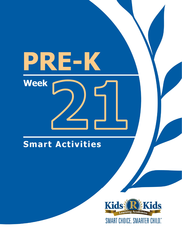# PRE-K **Week**

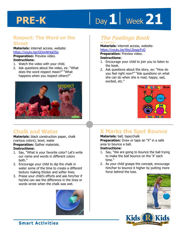# **1** Day 1 Week 21

#### **Respect: The Word on the Street**

**Materials:** internet access, website: https://youtu.be/GOzrAK4gOSo **Preparation:** Preview video.

- **Instructions:**
- 1. Watch the video with your child.
- 2. Ask questions about the video, ex: "What does the word respect mean?" "What happens when you respect others?"



# **Chalk and Water**

**Materials:** black construction paper, chalk (various colors), bowl, water **Preparation:** Gather materials.

#### **Instructions:**

- 1. Say, "What is your favorite color? Let's write our name and words in different colors both."
- 2. Encourage your child to dip the chalk in water some of the time to create a different texture making thicker and softer lines.
- 3. Praise your child's efforts and ask him/her if he/she can see the difference in the lines or words wrote when the chalk was wet.



#### **The Feelings Book by Todd Parr**

#### **Materials:** internet access, website: https://youtu.be/Wg1ZesqcFcQ

**Preparation:** Preview video.

#### **Instructions:**

- 1. Encourage your child to join you to listen to the book.
- 2. Ask questions about the story, ex: "How do you feel right now?" "Ask questions on what she can do when she is mad, happy, sad, excited, etc."



# **X Marks the Spot Bounce**

#### **Materials:** ball, tape/chalk

**Preparation:** Draw or tape an "X" in a safe area to bounce a ball.

#### **Instructions:**

- 1. Say, "We are going to bounce the ball trying to make the ball bounce on the 'X' each time."
- 2. As your child grasps the concept, encourage him/her to bounce it higher by putting more force behind the toss.



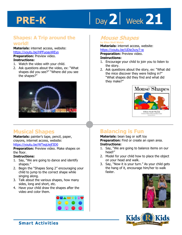# **22** Week 21

### **Shapes: A Trip around the world!**

**Materials:** internet access, website: https://youtu.be/HPFuoayWEys **Preparation:** Preview video.

#### **Instructions:**

- 1. Watch the video with your child.
- 2. Ask questions about the video, ex: "What shapes did you see?" "Where did you see the shapes?"



# **Musical Shapes**

**Materials:** painter's tape, pencil, paper, crayons, internet access, website: https://youtu.be/WTeqUejf3D0

**Preparation:** Preview video. Make shapes on the floor.

#### **Instructions:**

- 1. Say, "We are going to dance and identify shapes."
- 2. Begin the "Shapes Song 2" encouraging your child to jump to the correct shape while singing along.
- 3. Talk about the various shapes, how many sides, long and short, etc.
- 4. Have your child draw the shapes after the video and color them.



## **Mouse Shapes**

#### **by Ellen Stoll Walsh Materials:** internet access, website:

https://youtu.be/UDie3vzy7-w

### **Preparation:** Preview video.

#### **Instructions:**

- 1. Encourage your child to join you to listen to the story.
- 2. Ask questions about the story, ex: "What did the mice discover they were hiding in?" "What shapes did they find and what did they make?"



# **Balancing is Fun**

#### **Materials:** bean bag or soft toy **Preparation:** Find or create an open area. **Instructions:**

- 1. Say, "We are going to balance items on our head!"
- 2. Model for your child how to place the object on your head and walk.
- 3. Say, "Now it is your turn." As your child gets the hang of it, encourage him/her to walk faster.



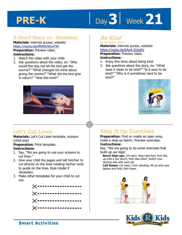# Day 3 | Week 21

## **A Short Story on -Kindness**

**Materials:** internet access, website: https://youtu.be/8Wi0UWLeT9I

**Preparation:** Preview video. **Instructions:** 

- 1. Watch the video with your child.
- 2. Ask questions about the video, ex: "Why would the dog not let the bird get the worms?" "What changed his mind about giving the worms?" "What did the bird give in return?" "Was this kind?"



## **Be Kind**

**by Pat Zietlow Miller Materials:** internet access, website: https://youtu.be/kAo4-2UzgPo

**<u>youtu.be/kAo4-2UzgPo</u><br>
ration:** Preview video.<br>
ctions:<br>
authis stary about being kind. **Preparation:** Preview video. **Instructions:** 

- 1. Enjoy this story about being kind.
- 2. Ask questions about the story, ex: "What does it mean to be kind?" "Is it easy to be kind?" "Why is it sometimes hard to be kind?"



# **Let's Cut Lines**

**Materials:** Let's Cut Lines template, scissors (child size)

**Preparation:** Print template.

#### **Instructions:**

- 1. Say, "We are going to use your scissors to cut lines."
- 2. Give your child the pages and tell him/her to cut directly on the lines rotating his/her wrist to guide on the lines. Role model if necessary.
- 3. Make other templates for your child to cut out.



# **Step It Up Exercises**

**Preparation:** Find or create an open area, make a step-up bench. Preview exercises.

#### **Instructions:**

Say, "We are going to do some exercises that build up our leas!

**Bench Step-ups:** (10 reps): Step right foot, then left, up onto a low bench, then step down. Switch your starting side with each set.

**Calf Raises:** (10 reps): From standing, lift up onto your tiptoes and hold, then lower.



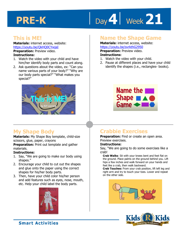# Day 4 | Week 21

## **This is ME!**

**Materials:** internet access, website: https://youtu.be/QkHQ0CYwjaI **Preparation:** Preview video.

#### **Instructions:**

- 1. Watch the video with your child and have him/her identify body parts and count along.
- 2. Ask questions about the video, ex: "Can you name various parts of your body?" "Why are our body parts special?" "What makes you special?"



# **My Shape Body**

**Materials:** My Shape Boy template, child-size scissors, glue, paper, crayons

**Preparation:** Print out template and gather materials.

#### **Instructions:**

- 1. Say, "We are going to make our body using shapes."
- 2. Encourage your child to cut out the shapes and glue onto the paper using the correct shapes for his/her body parts.
- 3. Then, have your child color his/her person and add features such as eyes, nose, mouth, etc. Help your child label the body parts.



### **Name the Shape Game**

**1 4**  1. Watch the video with your child. **Materials:** internet access, website: https://youtu.be/svrkthG2950 **Preparation:** Preview video.

#### **Instructions:**

- 
- 2. Pause at different places and have your child identify the shapes (i.e., rectangles- books).



# **Crabbie Exercises**

**Preparation:** Find or create an open area. Preview exercises.

#### **Instructions:**

Say, "We are going to do some exercises like a crab!

**Crab Walks**: Sit with your knees bent and feet flat on the ground. Place palms on the ground behind you. Lift hips a few inches and walk forward on your hands and feet like a crab, then walk backward.

**Crab Touches:** From your crab position, lift left leg and right arm and try to touch your toes. Lower and repeat on the other side.



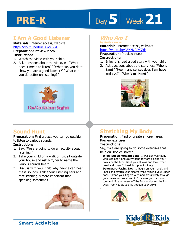# **bay 5 Week 21**

## **I Am A Good Listener**

**Materials:** internet access, website: https://youtu.be/bu10OxyTkkU **Preparation:** Preview video.

#### **Instructions:**

- 1. Watch the video with your child.
- 2. Ask questions about the video, ex: "What does it mean to listen?" "What can you do to show you are a good listener?" "What can you do better on listening?"



## **Who Am I**

**by Martina Kreiner Materials:** internet access, website:

**https://youtu.be/3EXMzCDMZdc<br><b>Preparation:** Preview video.<br>**Instructions:**<br>1. Faisy this read aloud stary with your **Preparation:** Preview video. **Instructions:** 

- 1. Enjoy this read aloud story with your child.
- 2. Ask questions about the story, ex: "Who is Sam?" "How many senses does Sam have and you?" "Who is mini-me?"



## **Sound Hunt**

**Preparation:** Find a place you can go outside to listen to various sounds.

#### **Instructions:**

- 1. Say, "We are going to do an activity about listening."
- 2. Take your child on a walk or just sit outside your house and ask him/her to name the various sounds heard.
- 3. Discuss with your child why he/she can hear these sounds. Talk about listening ears and that listening is more important than speaking sometimes.



# **Stretching My Body**

**Preparation:** Find or create an open area. Preview exercises.

#### **Instructions:**

.

Say, "We are going to do some exercises that help our bodies stretch!

**Wide-legged Forward Bend**: 1. Position your body with legs apart and slowly bend forward placing your palms on the floor. Bend your elbows and lower your head and torso. 2. Hold for up to 1 minute.

**Downward-Facing Dog**: 1. Begin on your hands and knees and stretch your elbows while relaxing your upper back. Spread your fingers wide and press firmly through your palms and knuckles. 2. Exhale as you tuck your toes and lift your knees off the floor and press the floor away from you as you lift through your pelvis.



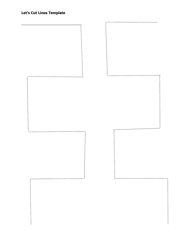### **Let's Cut Lines Template**

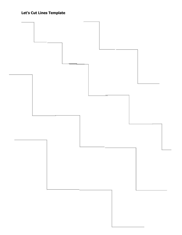### **Let's Cut Lines Template**

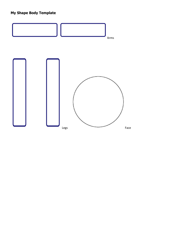#### **My Shape Body Template**